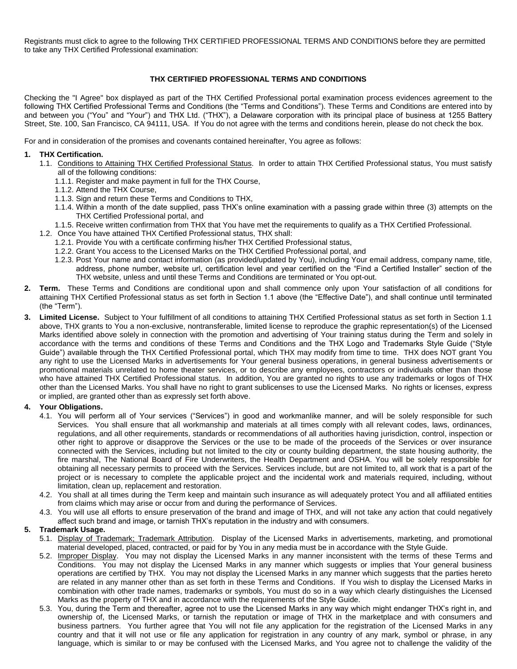Registrants must click to agree to the following THX CERTIFIED PROFESSIONAL TERMS AND CONDITIONS before they are permitted to take any THX Certified Professional examination:

# **THX CERTIFIED PROFESSIONAL TERMS AND CONDITIONS**

Checking the "I Agree" box displayed as part of the THX Certified Professional portal examination process evidences agreement to the following THX Certified Professional Terms and Conditions (the "Terms and Conditions"). These Terms and Conditions are entered into by and between you ("You" and "Your") and THX Ltd. ("THX"), a Delaware corporation with its principal place of business at 1255 Battery Street, Ste. 100, San Francisco, CA 94111, USA. If You do not agree with the terms and conditions herein, please do not check the box.

For and in consideration of the promises and covenants contained hereinafter, You agree as follows:

## **1. THX Certification.**

- 1.1. Conditions to Attaining THX Certified Professional Status. In order to attain THX Certified Professional status, You must satisfy all of the following conditions:
	- 1.1.1. Register and make payment in full for the THX Course,
	- 1.1.2. Attend the THX Course,
	- 1.1.3. Sign and return these Terms and Conditions to THX,
	- 1.1.4. Within a month of the date supplied, pass THX's online examination with a passing grade within three (3) attempts on the THX Certified Professional portal, and
	- 1.1.5. Receive written confirmation from THX that You have met the requirements to qualify as a THX Certified Professional.
- 1.2. Once You have attained THX Certified Professional status, THX shall:
	- 1.2.1. Provide You with a certificate confirming his/her THX Certified Professional status,
	- 1.2.2. Grant You access to the Licensed Marks on the THX Certified Professional portal, and
	- 1.2.3. Post Your name and contact information (as provided/updated by You), including Your email address, company name, title, address, phone number, website url, certification level and year certified on the "Find a Certified Installer" section of the THX website, unless and until these Terms and Conditions are terminated or You opt-out.
- **2. Term.** These Terms and Conditions are conditional upon and shall commence only upon Your satisfaction of all conditions for attaining THX Certified Professional status as set forth in Section 1.1 above (the "Effective Date"), and shall continue until terminated (the "Term").
- **3. Limited License.** Subject to Your fulfillment of all conditions to attaining THX Certified Professional status as set forth in Section 1.1 above, THX grants to You a non-exclusive, nontransferable, limited license to reproduce the graphic representation(s) of the Licensed Marks identified above solely in connection with the promotion and advertising of Your training status during the Term and solely in accordance with the terms and conditions of these Terms and Conditions and the THX Logo and Trademarks Style Guide ("Style Guide") available through the THX Certified Professional portal, which THX may modify from time to time. THX does NOT grant You any right to use the Licensed Marks in advertisements for Your general business operations, in general business advertisements or promotional materials unrelated to home theater services, or to describe any employees, contractors or individuals other than those who have attained THX Certified Professional status. In addition, You are granted no rights to use any trademarks or logos of THX other than the Licensed Marks. You shall have no right to grant sublicenses to use the Licensed Marks. No rights or licenses, express or implied, are granted other than as expressly set forth above.

## **4. Your Obligations.**

- 4.1. You will perform all of Your services ("Services") in good and workmanlike manner, and will be solely responsible for such Services. You shall ensure that all workmanship and materials at all times comply with all relevant codes, laws, ordinances, regulations, and all other requirements, standards or recommendations of all authorities having jurisdiction, control, inspection or other right to approve or disapprove the Services or the use to be made of the proceeds of the Services or over insurance connected with the Services, including but not limited to the city or county building department, the state housing authority, the fire marshal, The National Board of Fire Underwriters, the Health Department and OSHA. You will be solely responsible for obtaining all necessary permits to proceed with the Services. Services include, but are not limited to, all work that is a part of the project or is necessary to complete the applicable project and the incidental work and materials required, including, without limitation, clean up, replacement and restoration.
- 4.2. You shall at all times during the Term keep and maintain such insurance as will adequately protect You and all affiliated entities from claims which may arise or occur from and during the performance of Services.
- 4.3. You will use all efforts to ensure preservation of the brand and image of THX, and will not take any action that could negatively affect such brand and image, or tarnish THX's reputation in the industry and with consumers.

## **5. Trademark Usage.**

- 5.1. Display of Trademark; Trademark Attribution. Display of the Licensed Marks in advertisements, marketing, and promotional material developed, placed, contracted, or paid for by You in any media must be in accordance with the Style Guide.
- 5.2. Improper Display. You may not display the Licensed Marks in any manner inconsistent with the terms of these Terms and Conditions. You may not display the Licensed Marks in any manner which suggests or implies that Your general business operations are certified by THX. You may not display the Licensed Marks in any manner which suggests that the parties hereto are related in any manner other than as set forth in these Terms and Conditions. If You wish to display the Licensed Marks in combination with other trade names, trademarks or symbols, You must do so in a way which clearly distinguishes the Licensed Marks as the property of THX and in accordance with the requirements of the Style Guide.
- 5.3. You, during the Term and thereafter, agree not to use the Licensed Marks in any way which might endanger THX's right in, and ownership of, the Licensed Marks, or tarnish the reputation or image of THX in the marketplace and with consumers and business partners. You further agree that You will not file any application for the registration of the Licensed Marks in any country and that it will not use or file any application for registration in any country of any mark, symbol or phrase, in any language, which is similar to or may be confused with the Licensed Marks, and You agree not to challenge the validity of the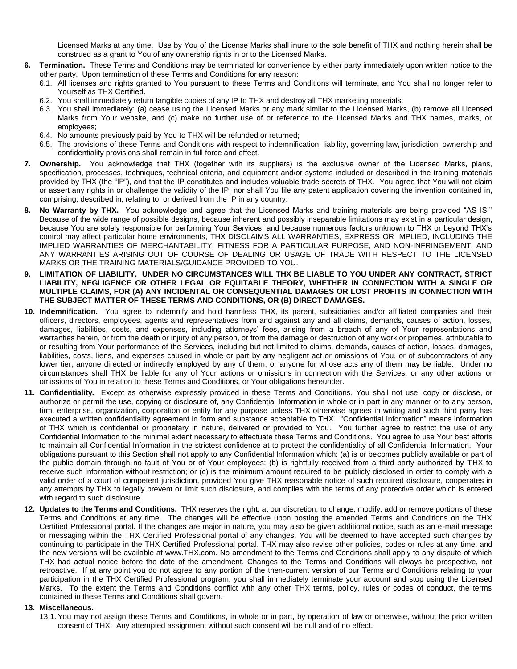Licensed Marks at any time. Use by You of the License Marks shall inure to the sole benefit of THX and nothing herein shall be construed as a grant to You of any ownership rights in or to the Licensed Marks.

- **6. Termination.** These Terms and Conditions may be terminated for convenience by either party immediately upon written notice to the other party. Upon termination of these Terms and Conditions for any reason:
	- 6.1. All licenses and rights granted to You pursuant to these Terms and Conditions will terminate, and You shall no longer refer to Yourself as THX Certified.
	- 6.2. You shall immediately return tangible copies of any IP to THX and destroy all THX marketing materials;
	- 6.3. You shall immediately: (a) cease using the Licensed Marks or any mark similar to the Licensed Marks, (b) remove all Licensed Marks from Your website, and (c) make no further use of or reference to the Licensed Marks and THX names, marks, or employees;
	- 6.4. No amounts previously paid by You to THX will be refunded or returned;
	- 6.5. The provisions of these Terms and Conditions with respect to indemnification, liability, governing law, jurisdiction, ownership and confidentiality provisions shall remain in full force and effect.
- **7. Ownership.** You acknowledge that THX (together with its suppliers) is the exclusive owner of the Licensed Marks, plans, specification, processes, techniques, technical criteria, and equipment and/or systems included or described in the training materials provided by THX (the "IP"), and that the IP constitutes and includes valuable trade secrets of THX. You agree that You will not claim or assert any rights in or challenge the validity of the IP, nor shall You file any patent application covering the invention contained in, comprising, described in, relating to, or derived from the IP in any country.
- **8. No Warranty by THX.** You acknowledge and agree that the Licensed Marks and training materials are being provided "AS IS." Because of the wide range of possible designs, because inherent and possibly inseparable limitations may exist in a particular design, because You are solely responsible for performing Your Services, and because numerous factors unknown to THX or beyond THX's control may affect particular home environments, THX DISCLAIMS ALL WARRANTIES, EXPRESS OR IMPLIED, INCLUDING THE IMPLIED WARRANTIES OF MERCHANTABILITY, FITNESS FOR A PARTICULAR PURPOSE, AND NON-INFRINGEMENT, AND ANY WARRANTIES ARISING OUT OF COURSE OF DEALING OR USAGE OF TRADE WITH RESPECT TO THE LICENSED MARKS OR THE TRAINING MATERIALS/GUIDANCE PROVIDED TO YOU.
- **9. LIMITATION OF LIABILITY. UNDER NO CIRCUMSTANCES WILL THX BE LIABLE TO YOU UNDER ANY CONTRACT, STRICT LIABILITY, NEGLIGENCE OR OTHER LEGAL OR EQUITABLE THEORY, WHETHER IN CONNECTION WITH A SINGLE OR MULTIPLE CLAIMS, FOR (A) ANY INCIDENTAL OR CONSEQUENTIAL DAMAGES OR LOST PROFITS IN CONNECTION WITH THE SUBJECT MATTER OF THESE TERMS AND CONDITIONS, OR (B) DIRECT DAMAGES.**
- **10. Indemnification.** You agree to indemnify and hold harmless THX, its parent, subsidiaries and/or affiliated companies and their officers, directors, employees, agents and representatives from and against any and all claims, demands, causes of action, losses, damages, liabilities, costs, and expenses, including attorneys' fees, arising from a breach of any of Your representations and warranties herein, or from the death or injury of any person, or from the damage or destruction of any work or properties, attributable to or resulting from Your performance of the Services, including but not limited to claims, demands, causes of action, losses, damages, liabilities, costs, liens, and expenses caused in whole or part by any negligent act or omissions of You, or of subcontractors of any lower tier, anyone directed or indirectly employed by any of them, or anyone for whose acts any of them may be liable. Under no circumstances shall THX be liable for any of Your actions or omissions in connection with the Services, or any other actions or omissions of You in relation to these Terms and Conditions, or Your obligations hereunder.
- **11. Confidentiality.** Except as otherwise expressly provided in these Terms and Conditions, You shall not use, copy or disclose, or authorize or permit the use, copying or disclosure of, any Confidential Information in whole or in part in any manner or to any person, firm, enterprise, organization, corporation or entity for any purpose unless THX otherwise agrees in writing and such third party has executed a written confidentiality agreement in form and substance acceptable to THX. "Confidential Information" means information of THX which is confidential or proprietary in nature, delivered or provided to You. You further agree to restrict the use of any Confidential Information to the minimal extent necessary to effectuate these Terms and Conditions. You agree to use Your best efforts to maintain all Confidential Information in the strictest confidence at to protect the confidentiality of all Confidential Information. Your obligations pursuant to this Section shall not apply to any Confidential Information which: (a) is or becomes publicly available or part of the public domain through no fault of You or of Your employees; (b) is rightfully received from a third party authorized by THX to receive such information without restriction; or (c) is the minimum amount required to be publicly disclosed in order to comply with a valid order of a court of competent jurisdiction, provided You give THX reasonable notice of such required disclosure, cooperates in any attempts by THX to legally prevent or limit such disclosure, and complies with the terms of any protective order which is entered with regard to such disclosure.
- **12. Updates to the Terms and Conditions.** THX reserves the right, at our discretion, to change, modify, add or remove portions of these Terms and Conditions at any time. The changes will be effective upon posting the amended Terms and Conditions on the THX Certified Professional portal. If the changes are major in nature, you may also be given additional notice, such as an e-mail message or messaging within the THX Certified Professional portal of any changes. You will be deemed to have accepted such changes by continuing to participate in the THX Certified Professional portal. THX may also revise other policies, codes or rules at any time, and the new versions will be available at www.THX.com. No amendment to the Terms and Conditions shall apply to any dispute of which THX had actual notice before the date of the amendment. Changes to the Terms and Conditions will always be prospective, not retroactive. If at any point you do not agree to any portion of the then-current version of our Terms and Conditions relating to your participation in the THX Certified Professional program, you shall immediately terminate your account and stop using the Licensed Marks. To the extent the Terms and Conditions conflict with any other THX terms, policy, rules or codes of conduct, the terms contained in these Terms and Conditions shall govern.

#### **13. Miscellaneous.**

13.1. You may not assign these Terms and Conditions, in whole or in part, by operation of law or otherwise, without the prior written consent of THX. Any attempted assignment without such consent will be null and of no effect.